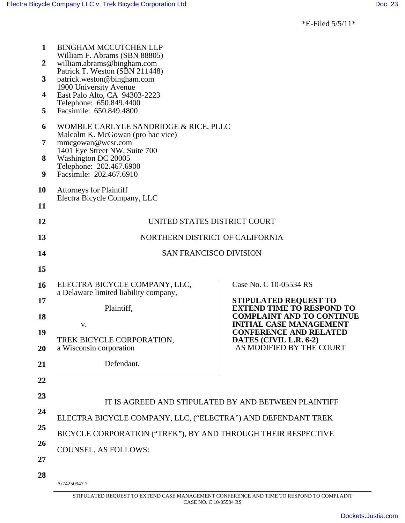\*E-Filed 5/5/11\*

| 1<br>$\boldsymbol{2}$<br>$\mathbf{3}$<br>$\overline{\mathbf{4}}$<br>5 | <b>BINGHAM MCCUTCHEN LLP</b><br>William F. Abrams (SBN 88805)<br>william.abrams@bingham.com<br>Patrick T. Weston (SBN 211448)<br>patrick.weston@bingham.com<br>1900 University Avenue<br>East Palo Alto, CA 94303-2223<br>Telephone: 650.849.4400<br>Facsimile: 650.849.4800 |                                                                                                                                        |  |  |  |
|-----------------------------------------------------------------------|------------------------------------------------------------------------------------------------------------------------------------------------------------------------------------------------------------------------------------------------------------------------------|----------------------------------------------------------------------------------------------------------------------------------------|--|--|--|
| 6                                                                     | WOMBLE CARLYLE SANDRIDGE & RICE, PLLC                                                                                                                                                                                                                                        |                                                                                                                                        |  |  |  |
| 7                                                                     | Malcolm K. McGowan (pro hac vice)<br>mmcgowan@wcsr.com                                                                                                                                                                                                                       |                                                                                                                                        |  |  |  |
| 8                                                                     | 1401 Eye Street NW, Suite 700<br>Washington DC 20005                                                                                                                                                                                                                         |                                                                                                                                        |  |  |  |
| 9                                                                     | Telephone: 202.467.6900<br>Facsimile: 202.467.6910                                                                                                                                                                                                                           |                                                                                                                                        |  |  |  |
| 10                                                                    | <b>Attorneys for Plaintiff</b><br>Electra Bicycle Company, LLC                                                                                                                                                                                                               |                                                                                                                                        |  |  |  |
| 11                                                                    |                                                                                                                                                                                                                                                                              |                                                                                                                                        |  |  |  |
| 12                                                                    | UNITED STATES DISTRICT COURT                                                                                                                                                                                                                                                 |                                                                                                                                        |  |  |  |
| 13                                                                    | NORTHERN DISTRICT OF CALIFORNIA                                                                                                                                                                                                                                              |                                                                                                                                        |  |  |  |
| 14                                                                    | <b>SAN FRANCISCO DIVISION</b>                                                                                                                                                                                                                                                |                                                                                                                                        |  |  |  |
| 15                                                                    |                                                                                                                                                                                                                                                                              |                                                                                                                                        |  |  |  |
| 16                                                                    | ELECTRA BICYCLE COMPANY, LLC,<br>a Delaware limited liability company,                                                                                                                                                                                                       | Case No. C 10-05534 RS                                                                                                                 |  |  |  |
| 17                                                                    | Plaintiff,                                                                                                                                                                                                                                                                   | <b>STIPULATED REQUEST TO</b><br><b>EXTEND TIME TO RESPOND TO</b><br><b>COMPLAINT AND TO CONTINUE</b><br><b>INITIAL CASE MANAGEMENT</b> |  |  |  |
| 18                                                                    |                                                                                                                                                                                                                                                                              |                                                                                                                                        |  |  |  |
| 19                                                                    | v.                                                                                                                                                                                                                                                                           | <b>CONFERENCE AND RELATED</b>                                                                                                          |  |  |  |
| 20                                                                    | TREK BICYCLE CORPORATION,<br>a Wisconsin corporation                                                                                                                                                                                                                         | DATES (CIVIL L.R. 6-2)<br>AS MODIFIED BY THE COURT                                                                                     |  |  |  |
| 21                                                                    | Defendant.                                                                                                                                                                                                                                                                   |                                                                                                                                        |  |  |  |
| 22                                                                    |                                                                                                                                                                                                                                                                              |                                                                                                                                        |  |  |  |
| 23                                                                    |                                                                                                                                                                                                                                                                              |                                                                                                                                        |  |  |  |
| 24                                                                    | IT IS AGREED AND STIPULATED BY AND BETWEEN PLAINTIFF                                                                                                                                                                                                                         |                                                                                                                                        |  |  |  |
| 25                                                                    | ELECTRA BICYCLE COMPANY, LLC, ("ELECTRA") AND DEFENDANT TREK                                                                                                                                                                                                                 |                                                                                                                                        |  |  |  |
| 26                                                                    | BICYCLE CORPORATION ("TREK"), BY AND THROUGH THEIR RESPECTIVE                                                                                                                                                                                                                |                                                                                                                                        |  |  |  |
| 27                                                                    | <b>COUNSEL, AS FOLLOWS:</b>                                                                                                                                                                                                                                                  |                                                                                                                                        |  |  |  |
| 28                                                                    |                                                                                                                                                                                                                                                                              |                                                                                                                                        |  |  |  |
|                                                                       | A/74250947.7                                                                                                                                                                                                                                                                 |                                                                                                                                        |  |  |  |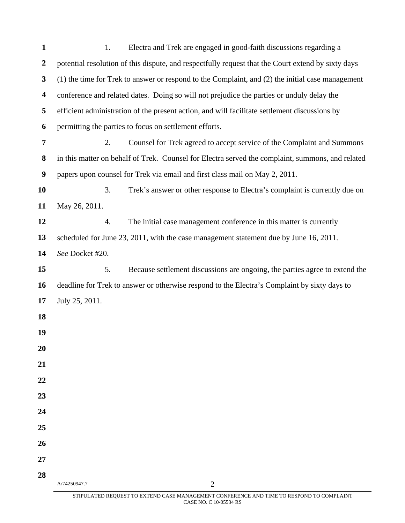| $\mathbf{1}$            | Electra and Trek are engaged in good-faith discussions regarding a<br>1.                           |  |  |
|-------------------------|----------------------------------------------------------------------------------------------------|--|--|
| $\boldsymbol{2}$        | potential resolution of this dispute, and respectfully request that the Court extend by sixty days |  |  |
| $\mathbf{3}$            | (1) the time for Trek to answer or respond to the Complaint, and (2) the initial case management   |  |  |
| $\overline{\mathbf{4}}$ | conference and related dates. Doing so will not prejudice the parties or unduly delay the          |  |  |
| 5                       | efficient administration of the present action, and will facilitate settlement discussions by      |  |  |
| 6                       | permitting the parties to focus on settlement efforts.                                             |  |  |
| $\overline{7}$          | Counsel for Trek agreed to accept service of the Complaint and Summons<br>2.                       |  |  |
| 8                       | in this matter on behalf of Trek. Counsel for Electra served the complaint, summons, and related   |  |  |
| $\boldsymbol{9}$        | papers upon counsel for Trek via email and first class mail on May 2, 2011.                        |  |  |
| 10                      | 3.<br>Trek's answer or other response to Electra's complaint is currently due on                   |  |  |
| 11                      | May 26, 2011.                                                                                      |  |  |
| 12                      | The initial case management conference in this matter is currently<br>4.                           |  |  |
| 13                      | scheduled for June 23, 2011, with the case management statement due by June 16, 2011.              |  |  |
| 14                      | See Docket #20.                                                                                    |  |  |
| 15                      | 5.<br>Because settlement discussions are ongoing, the parties agree to extend the                  |  |  |
| 16                      | deadline for Trek to answer or otherwise respond to the Electra's Complaint by sixty days to       |  |  |
| 17                      | July 25, 2011.                                                                                     |  |  |
| 18                      |                                                                                                    |  |  |
| 19                      |                                                                                                    |  |  |
| 20                      |                                                                                                    |  |  |
| 21                      |                                                                                                    |  |  |
| 22                      |                                                                                                    |  |  |
| 23                      |                                                                                                    |  |  |
| 24                      |                                                                                                    |  |  |
| 25                      |                                                                                                    |  |  |
| 26                      |                                                                                                    |  |  |
| 27                      |                                                                                                    |  |  |
| 28                      | A/74250947.7<br>$\overline{2}$                                                                     |  |  |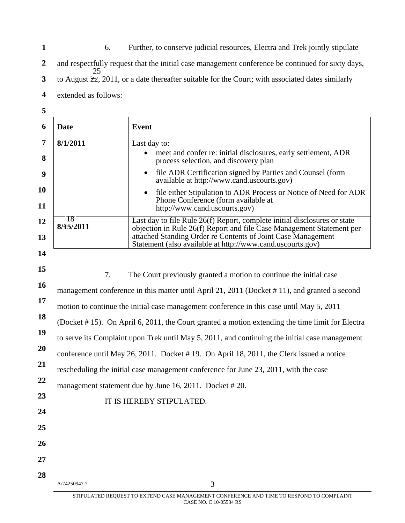**1**  6. Further, to conserve judicial resources, Electra and Trek jointly stipulate

**2**  and respectfully request that the initial case management conference be continued for sixty days, 25

- **3**  to August 22, 2011, or a date thereafter suitable for the Court; with associated dates similarly
- **4**  extended as follows:
- **5**

| 6               | <b>Date</b>                                                                                                                                      | <b>Event</b>                                                                                                                                                                                                                                                                     |  |
|-----------------|--------------------------------------------------------------------------------------------------------------------------------------------------|----------------------------------------------------------------------------------------------------------------------------------------------------------------------------------------------------------------------------------------------------------------------------------|--|
| 7<br>8          | 8/1/2011<br>Last day to:<br>meet and confer re: initial disclosures, early settlement, ADR<br>$\bullet$<br>process selection, and discovery plan |                                                                                                                                                                                                                                                                                  |  |
| 9               |                                                                                                                                                  | file ADR Certification signed by Parties and Counsel (form<br>$\bullet$<br>available at http://www.cand.uscourts.gov)                                                                                                                                                            |  |
| <b>10</b><br>11 |                                                                                                                                                  | file either Stipulation to ADR Process or Notice of Need for ADR<br>$\bullet$<br>Phone Conference (form available at<br>http://www.cand.uscourts.gov)                                                                                                                            |  |
| 12<br>13        | 78<br>8/15/2011                                                                                                                                  | Last day to file Rule 26(f) Report, complete initial disclosures or state<br>objection in Rule 26(f) Report and file Case Management Statement per<br>attached Standing Order re Contents of Joint Case Management<br>Statement (also available at http://www.cand.uscourts.gov) |  |
| 14              |                                                                                                                                                  |                                                                                                                                                                                                                                                                                  |  |
| 15              | 7.<br>The Court previously granted a motion to continue the initial case                                                                         |                                                                                                                                                                                                                                                                                  |  |
| 16              | management conference in this matter until April 21, 2011 (Docket #11), and granted a second                                                     |                                                                                                                                                                                                                                                                                  |  |
| 17              | motion to continue the initial case management conference in this case until May 5, 2011                                                         |                                                                                                                                                                                                                                                                                  |  |
| <b>18</b>       | (Docket #15). On April 6, 2011, the Court granted a motion extending the time limit for Electra                                                  |                                                                                                                                                                                                                                                                                  |  |
| 19              | to serve its Complaint upon Trek until May 5, 2011, and continuing the initial case management                                                   |                                                                                                                                                                                                                                                                                  |  |
| 20              | conference until May 26, 2011. Docket #19. On April 18, 2011, the Clerk issued a notice                                                          |                                                                                                                                                                                                                                                                                  |  |
| 21              | rescheduling the initial case management conference for June 23, 2011, with the case                                                             |                                                                                                                                                                                                                                                                                  |  |
| 22              |                                                                                                                                                  |                                                                                                                                                                                                                                                                                  |  |
| 23              | management statement due by June 16, 2011. Docket #20.                                                                                           |                                                                                                                                                                                                                                                                                  |  |
| 24              | IT IS HEREBY STIPULATED.                                                                                                                         |                                                                                                                                                                                                                                                                                  |  |
| 25              |                                                                                                                                                  |                                                                                                                                                                                                                                                                                  |  |
| 26              |                                                                                                                                                  |                                                                                                                                                                                                                                                                                  |  |
| 27              |                                                                                                                                                  |                                                                                                                                                                                                                                                                                  |  |
| 28              |                                                                                                                                                  |                                                                                                                                                                                                                                                                                  |  |
|                 | A/74250947.7                                                                                                                                     | 3                                                                                                                                                                                                                                                                                |  |